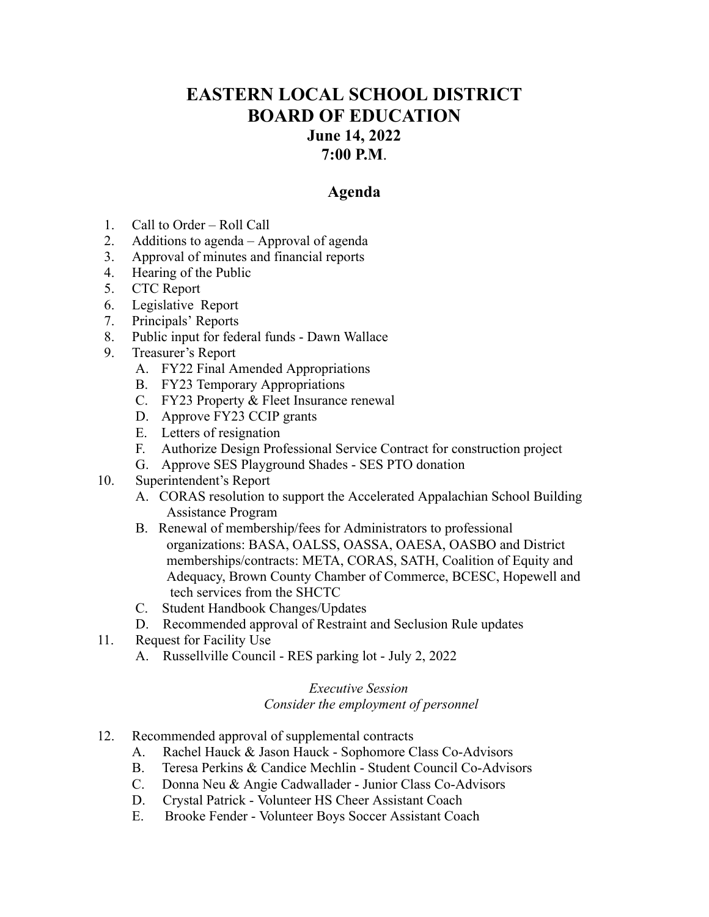## **EASTERN LOCAL SCHOOL DISTRICT BOARD OF EDUCATION June 14, 2022 7:00 P.M**.

## **Agenda**

- 1. Call to Order Roll Call
- 2. Additions to agenda Approval of agenda
- 3. Approval of minutes and financial reports
- 4. Hearing of the Public
- 5. CTC Report
- 6. Legislative Report
- 7. Principals' Reports
- 8. Public input for federal funds Dawn Wallace
- 9. Treasurer's Report
	- A. FY22 Final Amended Appropriations
	- B. FY23 Temporary Appropriations
	- C. FY23 Property & Fleet Insurance renewal
	- D. Approve FY23 CCIP grants
	- E. Letters of resignation
	- F. Authorize Design Professional Service Contract for construction project
	- G. Approve SES Playground Shades SES PTO donation
- 10. Superintendent's Report
	- A. CORAS resolution to support the Accelerated Appalachian School Building Assistance Program
	- B. Renewal of membership/fees for Administrators to professional organizations: BASA, OALSS, OASSA, OAESA, OASBO and District memberships/contracts: META, CORAS, SATH, Coalition of Equity and Adequacy, Brown County Chamber of Commerce, BCESC, Hopewell and tech services from the SHCTC
	- C. Student Handbook Changes/Updates
	- D. Recommended approval of Restraint and Seclusion Rule updates
- 11. Request for Facility Use
	- A. Russellville Council RES parking lot July 2, 2022

## *Executive Session Consider the employment of personnel*

- 12. Recommended approval of supplemental contracts
	- A. Rachel Hauck & Jason Hauck Sophomore Class Co-Advisors
	- B. Teresa Perkins & Candice Mechlin Student Council Co-Advisors
	- C. Donna Neu & Angie Cadwallader Junior Class Co-Advisors
	- D. Crystal Patrick Volunteer HS Cheer Assistant Coach
	- E. Brooke Fender Volunteer Boys Soccer Assistant Coach